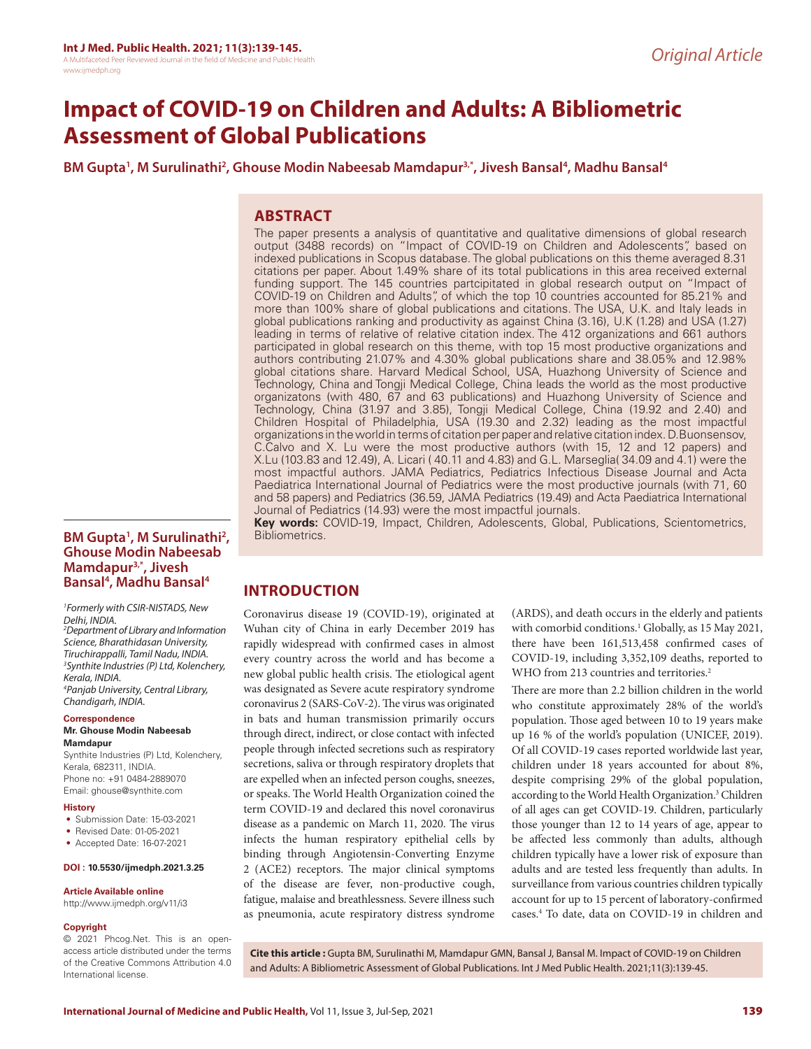# **Impact of COVID-19 on Children and Adults: A Bibliometric Assessment of Global Publications**

BM Gupta<sup>1</sup>, M Surulinathi<sup>2</sup>, Ghouse Modin Nabeesab Mamdapur<sup>3,\*</sup>, Jivesh Bansal<sup>4</sup>, Madhu Bansal<sup>4</sup>

# **ABSTRACT**

The paper presents a analysis of quantitative and qualitative dimensions of global research output (3488 records) on "Impact of COVID-19 on Children and Adolescents", based on indexed publications in Scopus database. The global publications on this theme averaged 8.31 citations per paper. About 1.49% share of its total publications in this area received external funding support. The 145 countries partcipitated in global research output on "Impact of COVID-19 on Children and Adults", of which the top 10 countries accounted for 85.21% and more than 100% share of global publications and citations. The USA, U.K. and Italy leads in global publications ranking and productivity as against China (3.16), U.K (1.28) and USA (1.27) leading in terms of relative of relative citation index. The 412 organizations and 661 authors participated in global research on this theme, with top 15 most productive organizations and authors contributing 21.07% and 4.30% global publications share and 38.05% and 12.98% global citations share. Harvard Medical School, USA, Huazhong University of Science and Technology, China and Tongji Medical College, China leads the world as the most productive organizatons (with 480, 67 and 63 publications) and Huazhong University of Science and Technology, China (31.97 and 3.85), Tongji Medical College, China (19.92 and 2.40) and Children Hospital of Philadelphia, USA (19.30 and 2.32) leading as the most impactful organizations in the world in terms of citation per paper and relative citation index. D.Buonsensov, C.Calvo and X. Lu were the most productive authors (with 15, 12 and 12 papers) and X.Lu (103.83 and 12.49), A. Licari ( 40.11 and 4.83) and G.L. Marseglia( 34.09 and 4.1) were the most impactful authors. JAMA Pediatrics, Pediatrics Infectious Disease Journal and Acta Paediatrica International Journal of Pediatrics were the most productive journals (with 71, 60 and 58 papers) and Pediatrics (36.59, JAMA Pediatrics (19.49) and Acta Paediatrica International Journal of Pediatrics (14.93) were the most impactful journals.

**Key words:** COVID-19, Impact, Children, Adolescents, Global, Publications, Scientometrics, Bibliometrics.

## BM Gupta<sup>1</sup>, M Surulinathi<sup>2</sup>, **Ghouse Modin Nabeesab Mamdapur3,\*, Jivesh Bansal4 , Madhu Bansal4**

*1 Formerly with CSIR-NISTADS, New Delhi, INDIA.* 

*2 Department of Library and Information Science, Bharathidasan University, Tiruchirappalli, Tamil Nadu, INDIA. 3 Synthite Industries (P) Ltd, Kolenchery, Kerala, INDIA. 4 Panjab University, Central Library,* 

*Chandigarh, INDIA.*

#### **Correspondence**

#### **Mr. Ghouse Modin Nabeesab Mamdapur**

Synthite Industries (P) Ltd, Kolenchery, Kerala, 682311, INDIA. Phone no: +91 0484-2889070 Email: ghouse@synthite.com

#### **History**

- Submission Date: 15-03-2021
- Revised Date: 01-05-2021
- Accepted Date: 16-07-2021

#### **DOI : 10.5530/ijmedph.2021.3.25**

#### **Article Available online**

http://www.ijmedph.org/v11/i3

#### **Copyright**

© 2021 Phcog.Net. This is an openaccess article distributed under the terms of the Creative Commons Attribution 4.0 International license.

# **INTRODUCTION**

Coronavirus disease 19 (COVID-19), originated at Wuhan city of China in early December 2019 has rapidly widespread with confirmed cases in almost every country across the world and has become a new global public health crisis. The etiological agent was designated as Severe acute respiratory syndrome coronavirus 2 (SARS-CoV-2). The virus was originated in bats and human transmission primarily occurs through direct, indirect, or close contact with infected people through infected secretions such as respiratory secretions, saliva or through respiratory droplets that are expelled when an infected person coughs, sneezes, or speaks. The World Health Organization coined the term COVID-19 and declared this novel coronavirus disease as a pandemic on March 11, 2020. The virus infects the human respiratory epithelial cells by binding through Angiotensin-Converting Enzyme 2 (ACE2) receptors. The major clinical symptoms of the disease are fever, non-productive cough, fatigue, malaise and breathlessness. Severe illness such as pneumonia, acute respiratory distress syndrome

(ARDS), and death occurs in the elderly and patients with comorbid conditions.<sup>1</sup> Globally, as 15 May 2021, there have been 161,513,458 confirmed cases of COVID-19, including 3,352,109 deaths, reported to WHO from 213 countries and territories.<sup>2</sup>

There are more than 2.2 billion children in the world who constitute approximately 28% of the world's population. Those aged between 10 to 19 years make up 16 % of the world's population (UNICEF, 2019). Of all COVID-19 cases reported worldwide last year, children under 18 years accounted for about 8%, despite comprising 29% of the global population, according to the World Health Organization.<sup>3</sup> Children of all ages can get COVID-19. Children, particularly those younger than 12 to 14 years of age, appear to be affected less commonly than adults, although children typically have a lower risk of exposure than adults and are tested less frequently than adults. In surveillance from various countries children typically account for up to 15 percent of laboratory-confirmed cases.4 To date, data on COVID-19 in children and

**Cite this article :** Gupta BM, Surulinathi M, Mamdapur GMN, Bansal J, Bansal M. Impact of COVID-19 on Children and Adults: A Bibliometric Assessment of Global Publications. Int J Med Public Health. 2021;11(3):139-45.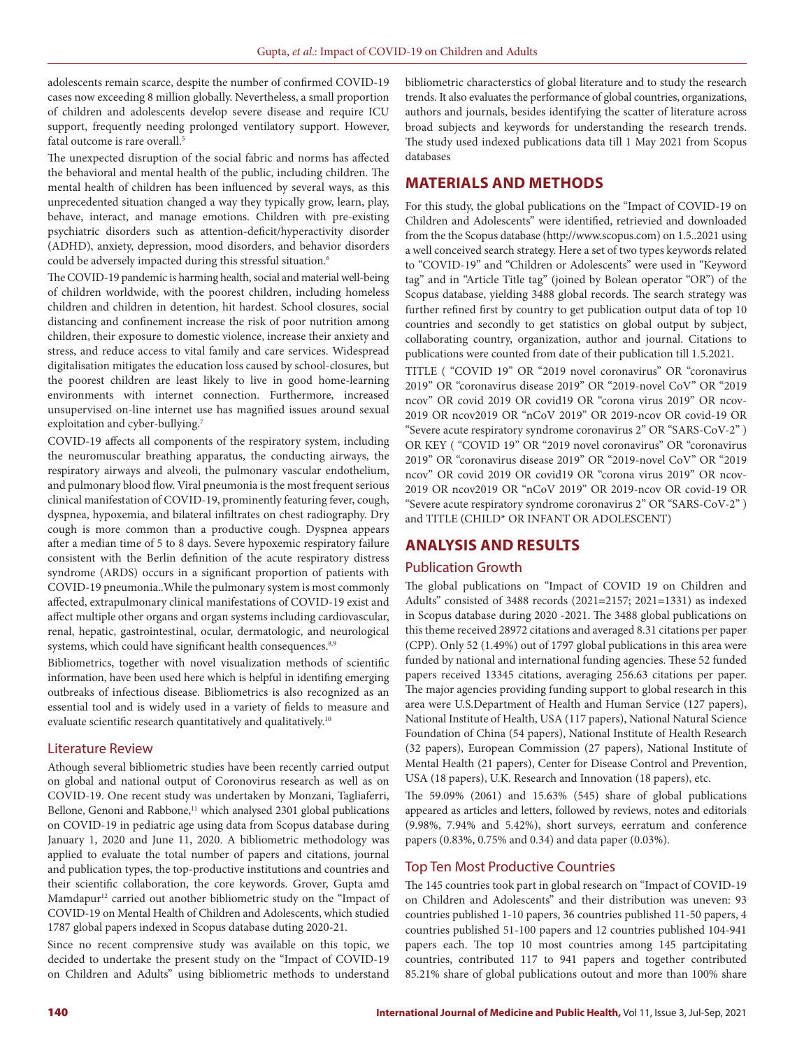adolescents remain scarce, despite the number of confirmed COVID-19 cases now exceeding 8 million globally. Nevertheless, a small proportion of children and adolescents develop severe disease and require ICU support, frequently needing prolonged ventilatory support. However, fatal outcome is rare overall.<sup>5</sup>

The unexpected disruption of the social fabric and norms has affected the behavioral and mental health of the public, including children. The mental health of children has been influenced by several ways, as this unprecedented situation changed a way they typically grow, learn, play, behave, interact, and manage emotions. Children with pre-existing psychiatric disorders such as attention-deficit/hyperactivity disorder (ADHD), anxiety, depression, mood disorders, and behavior disorders could be adversely impacted during this stressful situation.<sup>6</sup>

The COVID-19 pandemic is harming health, social and material well-being of children worldwide, with the poorest children, including homeless children and children in detention, hit hardest. School closures, social distancing and confinement increase the risk of poor nutrition among children, their exposure to domestic violence, increase their anxiety and stress, and reduce access to vital family and care services. Widespread digitalisation mitigates the education loss caused by school-closures, but the poorest children are least likely to live in good home-learning environments with internet connection. Furthermore, increased unsupervised on-line internet use has magnified issues around sexual exploitation and cyber-bullying.7

COVID-19 affects all components of the respiratory system, including the neuromuscular breathing apparatus, the conducting airways, the respiratory airways and alveoli, the pulmonary vascular endothelium, and pulmonary blood flow. Viral pneumonia is the most frequent serious clinical manifestation of COVID-19, prominently featuring fever, cough, dyspnea, hypoxemia, and bilateral infiltrates on chest radiography. Dry cough is more common than a productive cough. Dyspnea appears after a median time of 5 to 8 days. Severe hypoxemic respiratory failure consistent with the Berlin definition of the acute respiratory distress syndrome (ARDS) occurs in a significant proportion of patients with COVID-19 pneumonia..While the pulmonary system is most commonly affected, extrapulmonary clinical manifestations of COVID-19 exist and affect multiple other organs and organ systems including cardiovascular, renal, hepatic, gastrointestinal, ocular, dermatologic, and neurological systems, which could have significant health consequences.<sup>8,9</sup>

Bibliometrics, together with novel visualization methods of scientific information, have been used here which is helpful in identifing emerging outbreaks of infectious disease. Bibliometrics is also recognized as an essential tool and is widely used in a variety of fields to measure and evaluate scientific research quantitatively and qualitatively.<sup>10</sup>

#### Literature Review

Athough several bibliometric studies have been recently carried output on global and national output of Coronovirus research as well as on COVID-19. One recent study was undertaken by Monzani, Tagliaferri, Bellone, Genoni and Rabbone,<sup>11</sup> which analysed 2301 global publications on COVID-19 in pediatric age using data from Scopus database during January 1, 2020 and June 11, 2020. A bibliometric methodology was applied to evaluate the total number of papers and citations, journal and publication types, the top-productive institutions and countries and their scientific collaboration, the core keywords. Grover, Gupta amd Mamdapur<sup>12</sup> carried out another bibliometric study on the "Impact of COVID-19 on Mental Health of Children and Adolescents, which studied 1787 global papers indexed in Scopus database duting 2020-21.

Since no recent comprensive study was available on this topic, we decided to undertake the present study on the "Impact of COVID-19 on Children and Adults" using bibliometric methods to understand bibliometric characterstics of global literature and to study the research trends. It also evaluates the performance of global countries, organizations, authors and journals, besides identifying the scatter of literature across broad subjects and keywords for understanding the research trends. The study used indexed publications data till 1 May 2021 from Scopus databases

# **MATERIALS AND METHODS**

For this study, the global publications on the "Impact of COVID-19 on Children and Adolescents" were identified, retrievied and downloaded from the the Scopus database (http://www.scopus.com) on 1.5..2021 using a well conceived search strategy. Here a set of two types keywords related to "COVID-19" and "Children or Adolescents" were used in "Keyword tag" and in "Article Title tag" (joined by Bolean operator "OR") of the Scopus database, yielding 3488 global records. The search strategy was further refined first by country to get publication output data of top 10 countries and secondly to get statistics on global output by subject, collaborating country, organization, author and journal. Citations to publications were counted from date of their publication till 1.5.2021.

TITLE ( "COVID 19" OR "2019 novel coronavirus" OR "coronavirus 2019" OR "coronavirus disease 2019" OR "2019-novel CoV" OR "2019 ncov" OR covid 2019 OR covid19 OR "corona virus 2019" OR ncov-2019 OR ncov2019 OR "nCoV 2019" OR 2019-ncov OR covid-19 OR "Severe acute respiratory syndrome coronavirus 2" OR "SARS-CoV-2" ) OR KEY ( "COVID 19" OR "2019 novel coronavirus" OR "coronavirus 2019" OR "coronavirus disease 2019" OR "2019-novel CoV" OR "2019 ncov" OR covid 2019 OR covid19 OR "corona virus 2019" OR ncov-2019 OR ncov2019 OR "nCoV 2019" OR 2019-ncov OR covid-19 OR "Severe acute respiratory syndrome coronavirus 2" OR "SARS-CoV-2" ) and TITLE (CHILD\* OR INFANT OR ADOLESCENT)

# **ANALYSIS AND RESULTS**

## Publication Growth

The global publications on "Impact of COVID 19 on Children and Adults" consisted of 3488 records (2021=2157; 2021=1331) as indexed in Scopus database during 2020 -2021. The 3488 global publications on this theme received 28972 citations and averaged 8.31 citations per paper (CPP). Only 52 (1.49%) out of 1797 global publications in this area were funded by national and international funding agencies. These 52 funded papers received 13345 citations, averaging 256.63 citations per paper. The major agencies providing funding support to global research in this area were U.S.Department of Health and Human Service (127 papers), National Institute of Health, USA (117 papers), National Natural Science Foundation of China (54 papers), National Institute of Health Research (32 papers), European Commission (27 papers), National Institute of Mental Health (21 papers), Center for Disease Control and Prevention, USA (18 papers), U.K. Research and Innovation (18 papers), etc.

The 59.09% (2061) and 15.63% (545) share of global publications appeared as articles and letters, followed by reviews, notes and editorials (9.98%, 7.94% and 5.42%), short surveys, eerratum and conference papers (0.83%, 0.75% and 0.34) and data paper (0.03%).

## Top Ten Most Productive Countries

The 145 countries took part in global research on "Impact of COVID-19 on Children and Adolescents" and their distribution was uneven: 93 countries published 1-10 papers, 36 countries published 11-50 papers, 4 countries published 51-100 papers and 12 countries published 104-941 papers each. The top 10 most countries among 145 partcipitating countries, contributed 117 to 941 papers and together contributed 85.21% share of global publications outout and more than 100% share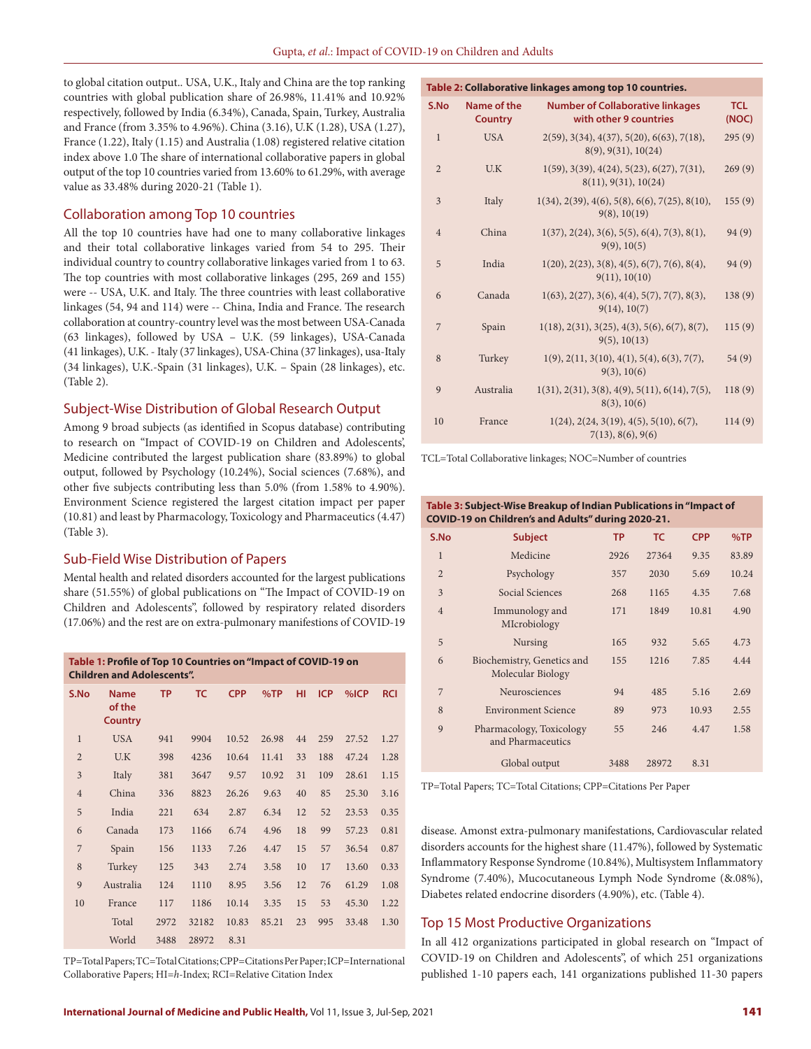to global citation output.. USA, U.K., Italy and China are the top ranking countries with global publication share of 26.98%, 11.41% and 10.92% respectively, followed by India (6.34%), Canada, Spain, Turkey, Australia and France (from 3.35% to 4.96%). China (3.16), U.K (1.28), USA (1.27), France (1.22), Italy (1.15) and Australia (1.08) registered relative citation index above 1.0 The share of international collaborative papers in global output of the top 10 countries varied from 13.60% to 61.29%, with average value as 33.48% during 2020-21 (Table 1).

#### Collaboration among Top 10 countries

All the top 10 countries have had one to many collaborative linkages and their total collaborative linkages varied from 54 to 295. Their individual country to country collaborative linkages varied from 1 to 63. The top countries with most collaborative linkages (295, 269 and 155) were -- USA, U.K. and Italy. The three countries with least collaborative linkages (54, 94 and 114) were -- China, India and France. The research collaboration at country-country level was the most between USA-Canada (63 linkages), followed by USA – U.K. (59 linkages), USA-Canada (41 linkages), U.K. - Italy (37 linkages), USA-China (37 linkages), usa-Italy (34 linkages), U.K.-Spain (31 linkages), U.K. – Spain (28 linkages), etc. (Table 2).

#### Subject-Wise Distribution of Global Research Output

Among 9 broad subjects (as identified in Scopus database) contributing to research on "Impact of COVID-19 on Children and Adolescents', Medicine contributed the largest publication share (83.89%) to global output, followed by Psychology (10.24%), Social sciences (7.68%), and other five subjects contributing less than 5.0% (from 1.58% to 4.90%). Environment Science registered the largest citation impact per paper (10.81) and least by Pharmacology, Toxicology and Pharmaceutics (4.47) (Table 3).

## Sub-Field Wise Distribution of Papers

Mental health and related disorders accounted for the largest publications share (51.55%) of global publications on "The Impact of COVID-19 on Children and Adolescents", followed by respiratory related disorders (17.06%) and the rest are on extra-pulmonary manifestions of COVID-19

**Table 1: Profile of Top 10 Countries on "Impact of COVID-19 on Children and Adolescents". S.No Name of the Country TP TC CPP %TP HI ICP %ICP RCI** 1 USA 941 9904 10.52 26.98 44 259 27.52 1.27 2 U.K 398 4236 10.64 11.41 33 188 47.24 1.28 3 Italy 381 3647 9.57 10.92 31 109 28.61 1.15 4 China 336 8823 26.26 9.63 40 85 25.30 3.16 5 India 221 634 2.87 6.34 12 52 23.53 0.35 6 Canada 173 1166 6.74 4.96 18 99 57.23 0.81 7 Spain 156 1133 7.26 4.47 15 57 36.54 0.87 8 Turkey 125 343 2.74 3.58 10 17 13.60 0.33 9 Australia 124 1110 8.95 3.56 12 76 61.29 1.08 10 France 117 1186 10.14 3.35 15 53 45.30 1.22 Total 2972 32182 10.83 85.21 23 995 33.48 1.30 World 3488 28972 8.31

TP=Total Papers; TC=Total Citations; CPP=Citations Per Paper; ICP=International Collaborative Papers; HI=*h*-Index; RCI=Relative Citation Index

| Table 2: Collaborative linkages among top 10 countries. |                               |                                                                                            |                     |  |  |  |  |
|---------------------------------------------------------|-------------------------------|--------------------------------------------------------------------------------------------|---------------------|--|--|--|--|
| S.No                                                    | Name of the<br><b>Country</b> | <b>Number of Collaborative linkages</b><br>with other 9 countries                          | <b>TCL</b><br>(NOC) |  |  |  |  |
| $\mathbf{1}$                                            | <b>USA</b>                    | $2(59)$ , $3(34)$ , $4(37)$ , $5(20)$ , $6(63)$ , $7(18)$ ,<br>$8(9)$ , $9(31)$ , $10(24)$ | 295(9)              |  |  |  |  |
| $\overline{2}$                                          | U.K                           | $1(59)$ , 3(39), 4(24), 5(23), 6(27), 7(31),<br>8(11), 9(31), 10(24)                       | 269(9)              |  |  |  |  |
| 3                                                       | Italy                         | $1(34), 2(39), 4(6), 5(8), 6(6), 7(25), 8(10),$<br>9(8), 10(19)                            | 155(9)              |  |  |  |  |
| $\overline{4}$                                          | China                         | $1(37), 2(24), 3(6), 5(5), 6(4), 7(3), 8(1),$<br>9(9), 10(5)                               | 94(9)               |  |  |  |  |
| 5                                                       | India                         | $1(20), 2(23), 3(8), 4(5), 6(7), 7(6), 8(4),$<br>9(11), 10(10)                             | 94 (9)              |  |  |  |  |
| 6                                                       | Canada                        | $1(63), 2(27), 3(6), 4(4), 5(7), 7(7), 8(3),$<br>9(14), 10(7)                              | 138(9)              |  |  |  |  |
| 7                                                       | Spain                         | $1(18), 2(31), 3(25), 4(3), 5(6), 6(7), 8(7),$<br>9(5), 10(13)                             | 115(9)              |  |  |  |  |
| 8                                                       | Turkey                        | $1(9)$ , $2(11, 3(10), 4(1), 5(4), 6(3), 7(7),$<br>9(3), 10(6)                             | 54 (9)              |  |  |  |  |
| 9                                                       | Australia                     | $1(31), 2(31), 3(8), 4(9), 5(11), 6(14), 7(5),$<br>8(3), 10(6)                             | 118(9)              |  |  |  |  |
| 10                                                      | France                        | $1(24), 2(24, 3(19), 4(5), 5(10), 6(7),$<br>7(13), 8(6), 9(6)                              | 114(9)              |  |  |  |  |

TCL=Total Collaborative linkages; NOC=Number of countries

#### **Table 3: Subject-Wise Breakup of Indian Publications in "Impact of COVID-19 on Children's and Adults" during 2020-21.**

| S.No           | <b>Subject</b>                                  | <b>TP</b> | <b>TC</b> | <b>CPP</b> | %TP   |
|----------------|-------------------------------------------------|-----------|-----------|------------|-------|
| 1              | Medicine                                        | 2926      | 27364     | 9.35       | 83.89 |
| $\overline{2}$ | Psychology                                      | 357       | 2030      | 5.69       | 10.24 |
| 3              | Social Sciences                                 | 268       | 1165      | 4.35       | 7.68  |
| $\overline{4}$ | Immunology and<br>MIcrobiology                  | 171       | 1849      | 10.81      | 4.90  |
| 5              | <b>Nursing</b>                                  | 165       | 932       | 5.65       | 4.73  |
| 6              | Biochemistry, Genetics and<br>Molecular Biology | 155       | 1216      | 7.85       | 4.44  |
| 7              | Neurosciences                                   | 94        | 485       | 5.16       | 2.69  |
| 8              | <b>Environment Science</b>                      | 89        | 973       | 10.93      | 2.55  |
| 9              | Pharmacology, Toxicology<br>and Pharmaceutics   | 55        | 246       | 4.47       | 1.58  |
|                | Global output                                   | 3488      | 28972     | 8.31       |       |

TP=Total Papers; TC=Total Citations; CPP=Citations Per Paper

disease. Amonst extra-pulmonary manifestations, Cardiovascular related disorders accounts for the highest share (11.47%), followed by Systematic Inflammatory Response Syndrome (10.84%), Multisystem Inflammatory Syndrome (7.40%), Mucocutaneous Lymph Node Syndrome (&.08%), Diabetes related endocrine disorders (4.90%), etc. (Table 4).

#### Top 15 Most Productive Organizations

In all 412 organizations participated in global research on "Impact of COVID-19 on Children and Adolescents", of which 251 organizations published 1-10 papers each, 141 organizations published 11-30 papers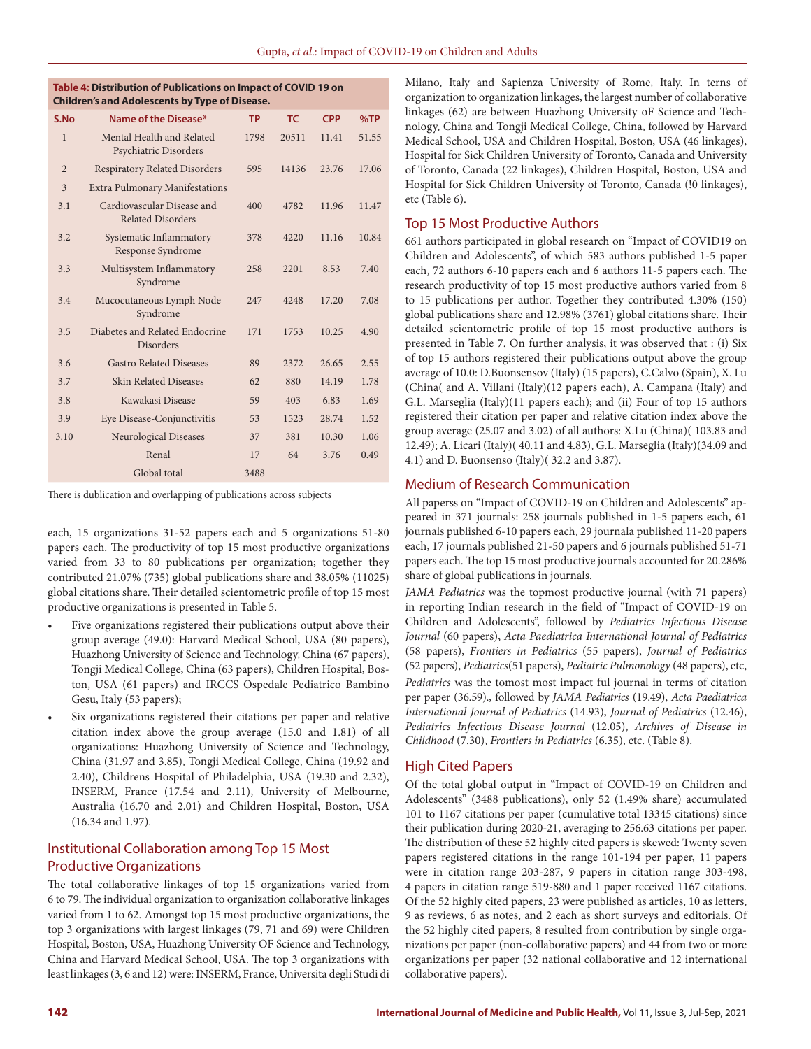| Table 4: Distribution of Publications on Impact of COVID 19 on |
|----------------------------------------------------------------|
| <b>Children's and Adolescents by Type of Disease.</b>          |

| S.No           | Name of the Disease*                                   | <b>TP</b> | <b>TC</b> | <b>CPP</b> | %TP   |
|----------------|--------------------------------------------------------|-----------|-----------|------------|-------|
| $\mathbf{1}$   | Mental Health and Related<br>Psychiatric Disorders     | 1798      | 20511     | 11.41      | 51.55 |
| $\overline{2}$ | <b>Respiratory Related Disorders</b>                   | 595       | 14136     | 23.76      | 17.06 |
| 3              | <b>Extra Pulmonary Manifestations</b>                  |           |           |            |       |
| 3.1            | Cardiovascular Disease and<br><b>Related Disorders</b> | 400       | 4782      | 11.96      | 11.47 |
| 3.2            | Systematic Inflammatory<br>Response Syndrome           | 378       | 4220      | 11.16      | 10.84 |
| 3.3            | Multisystem Inflammatory<br>Syndrome                   | 258       | 2201      | 8.53       | 7.40  |
| 3.4            | Mucocutaneous Lymph Node<br>Syndrome                   | 247       | 4248      | 17.20      | 7.08  |
| 3.5            | Diabetes and Related Endocrine<br><b>Disorders</b>     | 171       | 1753      | 10.25      | 4.90  |
| 3.6            | <b>Gastro Related Diseases</b>                         | 89        | 2372      | 26.65      | 2.55  |
| 3.7            | <b>Skin Related Diseases</b>                           | 62        | 880       | 14.19      | 1.78  |
| 3.8            | Kawakasi Disease                                       | 59        | 403       | 6.83       | 1.69  |
| 3.9            | Eye Disease-Conjunctivitis                             | 53        | 1523      | 28.74      | 1.52  |
| 3.10           | <b>Neurological Diseases</b>                           | 37        | 381       | 10.30      | 1.06  |
|                | Renal                                                  | 17        | 64        | 3.76       | 0.49  |
|                | Global total                                           | 3488      |           |            |       |

There is dublication and overlapping of publications across subjects

each, 15 organizations 31-52 papers each and 5 organizations 51-80 papers each. The productivity of top 15 most productive organizations varied from 33 to 80 publications per organization; together they contributed 21.07% (735) global publications share and 38.05% (11025) global citations share. Their detailed scientometric profile of top 15 most productive organizations is presented in Table 5.

- Five organizations registered their publications output above their group average (49.0): Harvard Medical School, USA (80 papers), Huazhong University of Science and Technology, China (67 papers), Tongji Medical College, China (63 papers), Children Hospital, Boston, USA (61 papers) and IRCCS Ospedale Pediatrico Bambino Gesu, Italy (53 papers);
- Six organizations registered their citations per paper and relative citation index above the group average (15.0 and 1.81) of all organizations: Huazhong University of Science and Technology, China (31.97 and 3.85), Tongji Medical College, China (19.92 and 2.40), Childrens Hospital of Philadelphia, USA (19.30 and 2.32), INSERM, France (17.54 and 2.11), University of Melbourne, Australia (16.70 and 2.01) and Children Hospital, Boston, USA (16.34 and 1.97).

# Institutional Collaboration among Top 15 Most Productive Organizations

The total collaborative linkages of top 15 organizations varied from 6 to 79. The individual organization to organization collaborative linkages varied from 1 to 62. Amongst top 15 most productive organizations, the top 3 organizations with largest linkages (79, 71 and 69) were Children Hospital, Boston, USA, Huazhong University OF Science and Technology, China and Harvard Medical School, USA. The top 3 organizations with least linkages (3, 6 and 12) were: INSERM, France, Universita degli Studi di Milano, Italy and Sapienza University of Rome, Italy. In terns of organization to organization linkages, the largest number of collaborative linkages (62) are between Huazhong University oF Science and Technology, China and Tongji Medical College, China, followed by Harvard Medical School, USA and Children Hospital, Boston, USA (46 linkages), Hospital for Sick Children University of Toronto, Canada and University of Toronto, Canada (22 linkages), Children Hospital, Boston, USA and Hospital for Sick Children University of Toronto, Canada (!0 linkages), etc (Table 6).

#### Top 15 Most Productive Authors

661 authors participated in global research on "Impact of COVID19 on Children and Adolescents", of which 583 authors published 1-5 paper each, 72 authors 6-10 papers each and 6 authors 11-5 papers each. The research productivity of top 15 most productive authors varied from 8 to 15 publications per author. Together they contributed 4.30% (150) global publications share and 12.98% (3761) global citations share. Their detailed scientometric profile of top 15 most productive authors is presented in Table 7. On further analysis, it was observed that : (i) Six of top 15 authors registered their publications output above the group average of 10.0: D.Buonsensov (Italy) (15 papers), C.Calvo (Spain), X. Lu (China( and A. Villani (Italy)(12 papers each), A. Campana (Italy) and G.L. Marseglia (Italy)(11 papers each); and (ii) Four of top 15 authors registered their citation per paper and relative citation index above the group average (25.07 and 3.02) of all authors: X.Lu (China)( 103.83 and 12.49); A. Licari (Italy)( 40.11 and 4.83), G.L. Marseglia (Italy)(34.09 and 4.1) and D. Buonsenso (Italy)( 32.2 and 3.87).

#### Medium of Research Communication

All paperss on "Impact of COVID-19 on Children and Adolescents" appeared in 371 journals: 258 journals published in 1-5 papers each, 61 journals published 6-10 papers each, 29 journala published 11-20 papers each, 17 journals published 21-50 papers and 6 journals published 51-71 papers each. The top 15 most productive journals accounted for 20.286% share of global publications in journals.

*JAMA Pediatrics* was the topmost productive journal (with 71 papers) in reporting Indian research in the field of "Impact of COVID-19 on Children and Adolescents", followed by *Pediatrics Infectious Disease Journal* (60 papers), *Acta Paediatrica International Journal of Pediatrics* (58 papers), *Frontiers in Pediatrics* (55 papers), *Journal of Pediatrics* (52 papers), *Pediatrics*(51 papers), *Pediatric Pulmonology* (48 papers), etc, *Pediatrics* was the tomost most impact ful journal in terms of citation per paper (36.59)., followed by *JAMA Pediatrics* (19.49), *Acta Paediatrica International Journal of Pediatrics* (14.93), *Journal of Pediatrics* (12.46), *Pediatrics Infectious Disease Journal* (12.05), *Archives of Disease in Childhood* (7.30), *Frontiers in Pediatrics* (6.35), etc. (Table 8).

## High Cited Papers

Of the total global output in "Impact of COVID-19 on Children and Adolescents" (3488 publications), only 52 (1.49% share) accumulated 101 to 1167 citations per paper (cumulative total 13345 citations) since their publication during 2020-21, averaging to 256.63 citations per paper. The distribution of these 52 highly cited papers is skewed: Twenty seven papers registered citations in the range 101-194 per paper, 11 papers were in citation range 203-287, 9 papers in citation range 303-498, 4 papers in citation range 519-880 and 1 paper received 1167 citations. Of the 52 highly cited papers, 23 were published as articles, 10 as letters, 9 as reviews, 6 as notes, and 2 each as short surveys and editorials. Of the 52 highly cited papers, 8 resulted from contribution by single organizations per paper (non-collaborative papers) and 44 from two or more organizations per paper (32 national collaborative and 12 international collaborative papers).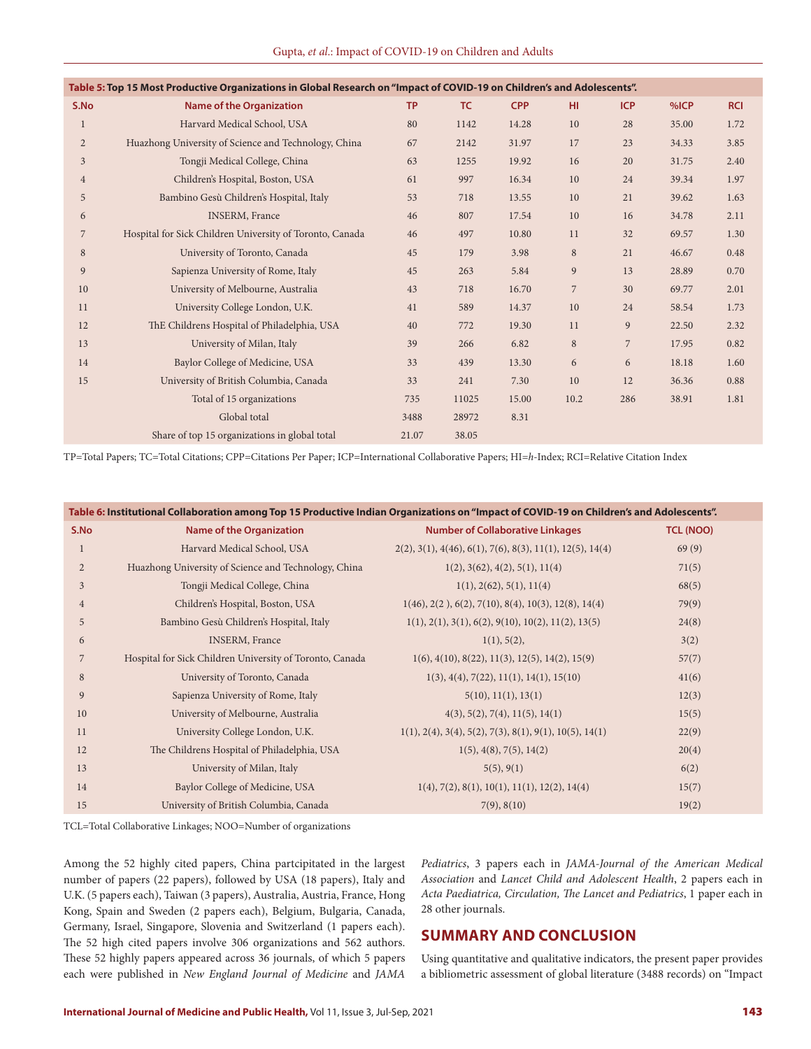| Table 5: Top 15 Most Productive Organizations in Global Research on "Impact of COVID-19 on Children's and Adolescents". |                                                          |           |       |            |                |                |       |            |  |
|-------------------------------------------------------------------------------------------------------------------------|----------------------------------------------------------|-----------|-------|------------|----------------|----------------|-------|------------|--|
| S.No                                                                                                                    | <b>Name of the Organization</b>                          | <b>TP</b> | TC    | <b>CPP</b> | HI.            | <b>ICP</b>     | %ICP  | <b>RCI</b> |  |
| $\mathbf{1}$                                                                                                            | Harvard Medical School, USA                              | 80        | 1142  | 14.28      | 10             | 28             | 35.00 | 1.72       |  |
| $\overline{2}$                                                                                                          | Huazhong University of Science and Technology, China     | 67        | 2142  | 31.97      | 17             | 23             | 34.33 | 3.85       |  |
| $\mathfrak{Z}$                                                                                                          | Tongji Medical College, China                            | 63        | 1255  | 19.92      | 16             | 20             | 31.75 | 2.40       |  |
| $\overline{4}$                                                                                                          | Children's Hospital, Boston, USA                         | 61        | 997   | 16.34      | 10             | 24             | 39.34 | 1.97       |  |
| 5                                                                                                                       | Bambino Gesù Children's Hospital, Italy                  | 53        | 718   | 13.55      | 10             | 21             | 39.62 | 1.63       |  |
| 6                                                                                                                       | <b>INSERM</b> , France                                   | 46        | 807   | 17.54      | 10             | 16             | 34.78 | 2.11       |  |
| 7                                                                                                                       | Hospital for Sick Children University of Toronto, Canada | 46        | 497   | 10.80      | 11             | 32             | 69.57 | 1.30       |  |
| 8                                                                                                                       | University of Toronto, Canada                            | 45        | 179   | 3.98       | 8              | 21             | 46.67 | 0.48       |  |
| 9                                                                                                                       | Sapienza University of Rome, Italy                       | 45        | 263   | 5.84       | 9              | 13             | 28.89 | 0.70       |  |
| 10                                                                                                                      | University of Melbourne, Australia                       | 43        | 718   | 16.70      | $\overline{7}$ | 30             | 69.77 | 2.01       |  |
| 11                                                                                                                      | University College London, U.K.                          | 41        | 589   | 14.37      | 10             | 24             | 58.54 | 1.73       |  |
| 12                                                                                                                      | ThE Childrens Hospital of Philadelphia, USA              | 40        | 772   | 19.30      | 11             | 9              | 22.50 | 2.32       |  |
| 13                                                                                                                      | University of Milan, Italy                               | 39        | 266   | 6.82       | 8              | $\overline{7}$ | 17.95 | 0.82       |  |
| 14                                                                                                                      | Baylor College of Medicine, USA                          | 33        | 439   | 13.30      | 6              | 6              | 18.18 | 1.60       |  |
| 15                                                                                                                      | University of British Columbia, Canada                   | 33        | 241   | 7.30       | 10             | 12             | 36.36 | 0.88       |  |
|                                                                                                                         | Total of 15 organizations                                | 735       | 11025 | 15.00      | 10.2           | 286            | 38.91 | 1.81       |  |
|                                                                                                                         | Global total                                             | 3488      | 28972 | 8.31       |                |                |       |            |  |
|                                                                                                                         | Share of top 15 organizations in global total            | 21.07     | 38.05 |            |                |                |       |            |  |
|                                                                                                                         |                                                          |           |       |            |                |                |       |            |  |

TP=Total Papers; TC=Total Citations; CPP=Citations Per Paper; ICP=International Collaborative Papers; HI=*h*-Index; RCI=Relative Citation Index

| Table 6: Institutional Collaboration among Top 15 Productive Indian Organizations on "Impact of COVID-19 on Children's and Adolescents". |                                                          |                                                                    |                  |  |  |  |  |
|------------------------------------------------------------------------------------------------------------------------------------------|----------------------------------------------------------|--------------------------------------------------------------------|------------------|--|--|--|--|
| S.No                                                                                                                                     | <b>Name of the Organization</b>                          | <b>Number of Collaborative Linkages</b>                            | <b>TCL (NOO)</b> |  |  |  |  |
|                                                                                                                                          | Harvard Medical School, USA                              | $2(2), 3(1), 4(46), 6(1), 7(6), 8(3), 11(1), 12(5), 14(4)$         | 69(9)            |  |  |  |  |
| $\overline{2}$                                                                                                                           | Huazhong University of Science and Technology, China     | 1(2), 3(62), 4(2), 5(1), 11(4)                                     | 71(5)            |  |  |  |  |
| 3                                                                                                                                        | Tongji Medical College, China                            | 1(1), 2(62), 5(1), 11(4)                                           | 68(5)            |  |  |  |  |
| $\overline{4}$                                                                                                                           | Children's Hospital, Boston, USA                         | $1(46), 2(2), 6(2), 7(10), 8(4), 10(3), 12(8), 14(4)$              | 79(9)            |  |  |  |  |
| 5                                                                                                                                        | Bambino Gesù Children's Hospital, Italy                  | $1(1), 2(1), 3(1), 6(2), 9(10), 10(2), 11(2), 13(5)$               | 24(8)            |  |  |  |  |
| 6                                                                                                                                        | <b>INSERM, France</b>                                    | 1(1), 5(2),                                                        | 3(2)             |  |  |  |  |
| 7                                                                                                                                        | Hospital for Sick Children University of Toronto, Canada | $1(6)$ , $4(10)$ , $8(22)$ , $11(3)$ , $12(5)$ , $14(2)$ , $15(9)$ | 57(7)            |  |  |  |  |
| 8                                                                                                                                        | University of Toronto, Canada                            | $1(3), 4(4), 7(22), 11(1), 14(1), 15(10)$                          | 41(6)            |  |  |  |  |
| 9                                                                                                                                        | Sapienza University of Rome, Italy                       | 5(10), 11(1), 13(1)                                                | 12(3)            |  |  |  |  |
| 10                                                                                                                                       | University of Melbourne, Australia                       | 4(3), 5(2), 7(4), 11(5), 14(1)                                     | 15(5)            |  |  |  |  |
| 11                                                                                                                                       | University College London, U.K.                          | $1(1), 2(4), 3(4), 5(2), 7(3), 8(1), 9(1), 10(5), 14(1)$           | 22(9)            |  |  |  |  |
| 12                                                                                                                                       | The Childrens Hospital of Philadelphia, USA              | 1(5), 4(8), 7(5), 14(2)                                            | 20(4)            |  |  |  |  |
| 13                                                                                                                                       | University of Milan, Italy                               | 5(5), 9(1)                                                         | 6(2)             |  |  |  |  |
| 14                                                                                                                                       | Baylor College of Medicine, USA                          | $1(4)$ , 7(2), 8(1), 10(1), 11(1), 12(2), 14(4)                    | 15(7)            |  |  |  |  |
| 15                                                                                                                                       | University of British Columbia, Canada                   | 7(9), 8(10)                                                        | 19(2)            |  |  |  |  |

TCL=Total Collaborative Linkages; NOO=Number of organizations

Among the 52 highly cited papers, China partcipitated in the largest number of papers (22 papers), followed by USA (18 papers), Italy and U.K. (5 papers each), Taiwan (3 papers), Australia, Austria, France, Hong Kong, Spain and Sweden (2 papers each), Belgium, Bulgaria, Canada, Germany, Israel, Singapore, Slovenia and Switzerland (1 papers each). The 52 high cited papers involve 306 organizations and 562 authors. These 52 highly papers appeared across 36 journals, of which 5 papers each were published in *New England Journal of Medicine* and *JAMA* 

*Pediatrics*, 3 papers each in *JAMA-Journal of the American Medical Association* and *Lancet Child and Adolescent Health*, 2 papers each in *Acta Paediatrica, Circulation, The Lancet and Pediatrics*, 1 paper each in 28 other journals.

# **SUMMARY AND CONCLUSION**

Using quantitative and qualitative indicators, the present paper provides a bibliometric assessment of global literature (3488 records) on "Impact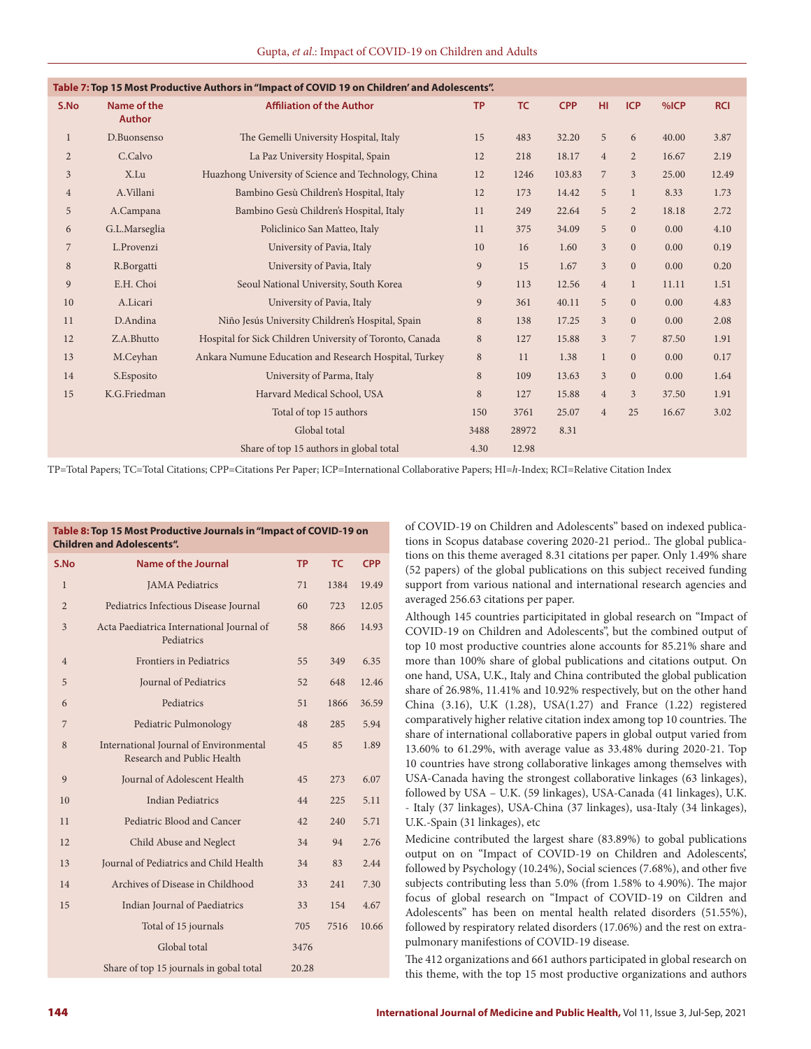| Table 7: Top 15 Most Productive Authors in "Impact of COVID 19 on Children' and Adolescents". |                              |                                                          |           |           |            |                |                |       |            |
|-----------------------------------------------------------------------------------------------|------------------------------|----------------------------------------------------------|-----------|-----------|------------|----------------|----------------|-------|------------|
| S.No                                                                                          | Name of the<br><b>Author</b> | <b>Affiliation of the Author</b>                         | <b>TP</b> | <b>TC</b> | <b>CPP</b> | HI.            | <b>ICP</b>     | %ICP  | <b>RCI</b> |
| $\mathbf{1}$                                                                                  | D.Buonsenso                  | The Gemelli University Hospital, Italy                   | 15        | 483       | 32.20      | 5              | 6              | 40.00 | 3.87       |
| $\overline{2}$                                                                                | C.Calvo                      | La Paz University Hospital, Spain                        | 12        | 218       | 18.17      | $\overline{4}$ | $\overline{2}$ | 16.67 | 2.19       |
| $\mathfrak{Z}$                                                                                | X.Lu                         | Huazhong University of Science and Technology, China     | 12        | 1246      | 103.83     | $\overline{7}$ | $\overline{3}$ | 25.00 | 12.49      |
| $\overline{4}$                                                                                | A.Villani                    | Bambino Gesù Children's Hospital, Italy                  | 12        | 173       | 14.42      | 5              | $\mathbf{1}$   | 8.33  | 1.73       |
| 5                                                                                             | A.Campana                    | Bambino Gesù Children's Hospital, Italy                  | 11        | 249       | 22.64      | 5              | $\overline{2}$ | 18.18 | 2.72       |
| 6                                                                                             | G.L.Marseglia                | Policlinico San Matteo, Italy                            | 11        | 375       | 34.09      | 5              | $\overline{0}$ | 0.00  | 4.10       |
| 7                                                                                             | L.Provenzi                   | University of Pavia, Italy                               | 10        | 16        | 1.60       | $\mathfrak{Z}$ | $\Omega$       | 0.00  | 0.19       |
| 8                                                                                             | R.Borgatti                   | University of Pavia, Italy                               | 9         | 15        | 1.67       | $\overline{3}$ | $\overline{0}$ | 0.00  | 0.20       |
| 9                                                                                             | E.H. Choi                    | Seoul National University, South Korea                   | 9         | 113       | 12.56      | $\overline{4}$ | $\mathbf{1}$   | 11.11 | 1.51       |
| 10                                                                                            | A.Licari                     | University of Pavia, Italy                               | 9         | 361       | 40.11      | 5              | $\overline{0}$ | 0.00  | 4.83       |
| 11                                                                                            | D.Andina                     | Niño Jesús University Children's Hospital, Spain         | $\, 8$    | 138       | 17.25      | $\overline{3}$ | $\overline{0}$ | 0.00  | 2.08       |
| 12                                                                                            | Z.A.Bhutto                   | Hospital for Sick Children University of Toronto, Canada | 8         | 127       | 15.88      | 3              | $\overline{7}$ | 87.50 | 1.91       |
| 13                                                                                            | M.Ceyhan                     | Ankara Numune Education and Research Hospital, Turkey    | 8         | 11        | 1.38       | $\mathbf{1}$   | $\overline{0}$ | 0.00  | 0.17       |
| 14                                                                                            | S. Esposito                  | University of Parma, Italy                               | 8         | 109       | 13.63      | 3              | $\overline{0}$ | 0.00  | 1.64       |
| 15                                                                                            | K.G.Friedman                 | Harvard Medical School, USA                              | 8         | 127       | 15.88      | $\overline{4}$ | $\overline{3}$ | 37.50 | 1.91       |
|                                                                                               |                              | Total of top 15 authors                                  | 150       | 3761      | 25.07      | $\overline{4}$ | 25             | 16.67 | 3.02       |
|                                                                                               |                              | Global total                                             | 3488      | 28972     | 8.31       |                |                |       |            |
|                                                                                               |                              | Share of top 15 authors in global total                  | 4.30      | 12.98     |            |                |                |       |            |
|                                                                                               |                              |                                                          |           |           |            |                |                |       |            |

TP=Total Papers; TC=Total Citations; CPP=Citations Per Paper; ICP=International Collaborative Papers; HI=*h*-Index; RCI=Relative Citation Index

| Table 8: Top 15 Most Productive Journals in "Impact of COVID-19 on<br><b>Children and Adolescents".</b> |                                                                      |           |           |            |  |  |  |
|---------------------------------------------------------------------------------------------------------|----------------------------------------------------------------------|-----------|-----------|------------|--|--|--|
| S.No                                                                                                    | Name of the Journal                                                  | <b>TP</b> | <b>TC</b> | <b>CPP</b> |  |  |  |
| $\mathbf{1}$                                                                                            | <b>JAMA</b> Pediatrics                                               | 71        | 1384      | 19.49      |  |  |  |
| $\overline{2}$                                                                                          | Pediatrics Infectious Disease Journal                                | 60        | 723       | 12.05      |  |  |  |
| 3                                                                                                       | Acta Paediatrica International Journal of<br>Pediatrics              | 58        | 866       | 14.93      |  |  |  |
| $\overline{4}$                                                                                          | <b>Frontiers in Pediatrics</b>                                       | 55        | 349       | 6.35       |  |  |  |
| 5                                                                                                       | Journal of Pediatrics                                                | 52        | 648       | 12.46      |  |  |  |
| 6                                                                                                       | Pediatrics                                                           | 51        | 1866      | 36.59      |  |  |  |
| $\overline{7}$                                                                                          | Pediatric Pulmonology                                                | 48        | 285       | 5.94       |  |  |  |
| 8                                                                                                       | International Journal of Environmental<br>Research and Public Health | 45        | 85        | 1.89       |  |  |  |
| 9                                                                                                       | Journal of Adolescent Health                                         | 45        | 273       | 6.07       |  |  |  |
| 10                                                                                                      | <b>Indian Pediatrics</b>                                             | 44        | 225       | 5.11       |  |  |  |
| 11                                                                                                      | Pediatric Blood and Cancer                                           | 42        | 240       | 5.71       |  |  |  |
| 12                                                                                                      | Child Abuse and Neglect                                              | 34        | 94        | 2.76       |  |  |  |
| 13                                                                                                      | Journal of Pediatrics and Child Health                               | 34        | 83        | 2.44       |  |  |  |
| 14                                                                                                      | Archives of Disease in Childhood                                     | 33        | 241       | 7.30       |  |  |  |
| 15                                                                                                      | Indian Journal of Paediatrics                                        | 33        | 154       | 4.67       |  |  |  |
|                                                                                                         | Total of 15 journals                                                 | 705       | 7516      | 10.66      |  |  |  |
|                                                                                                         | Global total                                                         | 3476      |           |            |  |  |  |
|                                                                                                         | Share of top 15 journals in gobal total                              | 20.28     |           |            |  |  |  |

of COVID-19 on Children and Adolescents" based on indexed publications in Scopus database covering 2020-21 period.. The global publications on this theme averaged 8.31 citations per paper. Only 1.49% share (52 papers) of the global publications on this subject received funding support from various national and international research agencies and averaged 256.63 citations per paper.

Although 145 countries participitated in global research on "Impact of COVID-19 on Children and Adolescents", but the combined output of top 10 most productive countries alone accounts for 85.21% share and more than 100% share of global publications and citations output. On one hand, USA, U.K., Italy and China contributed the global publication share of 26.98%, 11.41% and 10.92% respectively, but on the other hand China (3.16), U.K (1.28), USA(1.27) and France (1.22) registered comparatively higher relative citation index among top 10 countries. The share of international collaborative papers in global output varied from 13.60% to 61.29%, with average value as 33.48% during 2020-21. Top 10 countries have strong collaborative linkages among themselves with USA-Canada having the strongest collaborative linkages (63 linkages), followed by USA – U.K. (59 linkages), USA-Canada (41 linkages), U.K. - Italy (37 linkages), USA-China (37 linkages), usa-Italy (34 linkages), U.K.-Spain (31 linkages), etc

Medicine contributed the largest share (83.89%) to gobal publications output on on "Impact of COVID-19 on Children and Adolescents', followed by Psychology (10.24%), Social sciences (7.68%), and other five subjects contributing less than 5.0% (from 1.58% to 4.90%). The major focus of global research on "Impact of COVID-19 on Cildren and Adolescents" has been on mental health related disorders (51.55%), followed by respiratory related disorders (17.06%) and the rest on extrapulmonary manifestions of COVID-19 disease.

The 412 organizations and 661 authors participated in global research on this theme, with the top 15 most productive organizations and authors